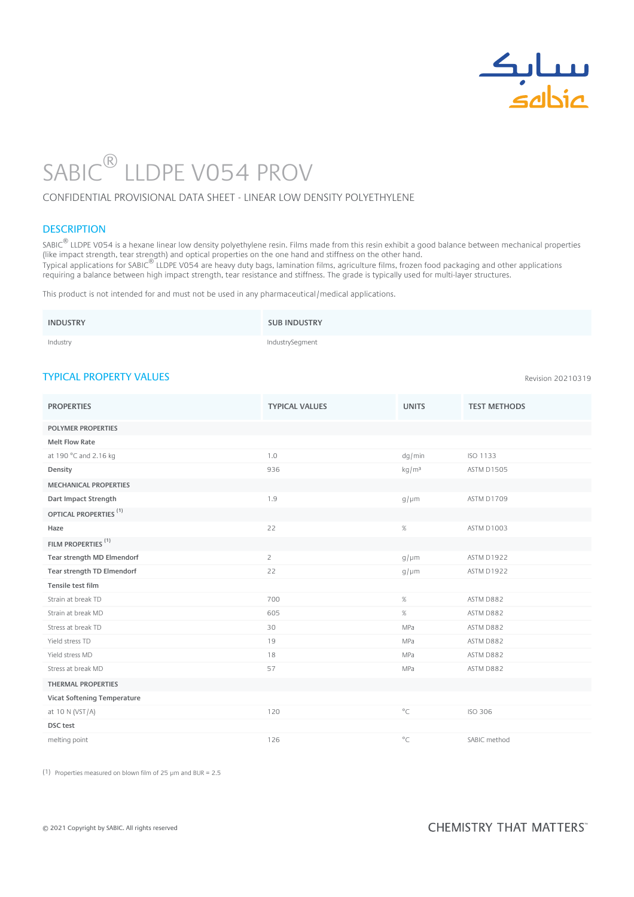

Revision 20210319

# SABIC LLDPE VO54 PROV  $\circledR$

### CONFIDENTIAL PROVISIONAL DATA SHEET - LINEAR LOW DENSITY POLYETHYLENE

## **DESCRIPTION**

SABIC® LLDPE V054 is a hexane linear low density polyethylene resin. Films made from this resin exhibit a good balance between mechanical properties (like impact strength, tear strength) and optical properties on the one hand and stiffness on the other hand. .<br>Typical applications for SABIC<sup>®</sup> LLDPE V054 are heavy duty bags, lamination films, agriculture films, frozen food packaging and other applications requiring a balance between high impact strength, tear resistance and stiffness. The grade is typically used for multi-layer structures. ®

This product is not intended for and must not be used in any pharmaceutical/medical applications.

| <b>INDUSTRY</b> | <b>SUB INDUSTRY</b> |
|-----------------|---------------------|
| Industry        | IndustrySegment     |

# TYPICAL PROPERTY VALUES

| <b>PROPERTIES</b>                 | <b>TYPICAL VALUES</b> | <b>UNITS</b>      | <b>TEST METHODS</b> |
|-----------------------------------|-----------------------|-------------------|---------------------|
| <b>POLYMER PROPERTIES</b>         |                       |                   |                     |
| <b>Melt Flow Rate</b>             |                       |                   |                     |
| at 190 °C and 2.16 kg             | 1.0                   | dg/min            | ISO 1133            |
| Density                           | 936                   | kg/m <sup>3</sup> | <b>ASTM D1505</b>   |
| <b>MECHANICAL PROPERTIES</b>      |                       |                   |                     |
| Dart Impact Strength              | 1.9                   | $g/\mu m$         | <b>ASTM D1709</b>   |
| OPTICAL PROPERTIES <sup>(1)</sup> |                       |                   |                     |
| Haze                              | 22                    | $\%$              | ASTM D1003          |
| FILM PROPERTIES <sup>(1)</sup>    |                       |                   |                     |
| Tear strength MD Elmendorf        | $\overline{c}$        | $g/\mu m$         | ASTM D1922          |
| Tear strength TD Elmendorf        | 22                    | $g/\mu m$         | ASTM D1922          |
| Tensile test film                 |                       |                   |                     |
| Strain at break TD                | 700                   | $\%$              | ASTM D882           |
| Strain at break MD                | 605                   | $\%$              | ASTM D882           |
| Stress at break TD                | 30                    | MPa               | ASTM D882           |
| Yield stress TD                   | 19                    | MPa               | ASTM D882           |
| Yield stress MD                   | 18                    | MPa               | ASTM D882           |
| Stress at break MD                | 57                    | MPa               | ASTM D882           |
| <b>THERMAL PROPERTIES</b>         |                       |                   |                     |
| Vicat Softening Temperature       |                       |                   |                     |
| at 10 N (VST/A)                   | 120                   | $^{\circ}$ C      | <b>ISO 306</b>      |
| DSC test                          |                       |                   |                     |
| melting point                     | 126                   | $^{\circ}$ C      | SABIC method        |

(1) Properties measured on blown film of 25 µm and BUR = 2.5